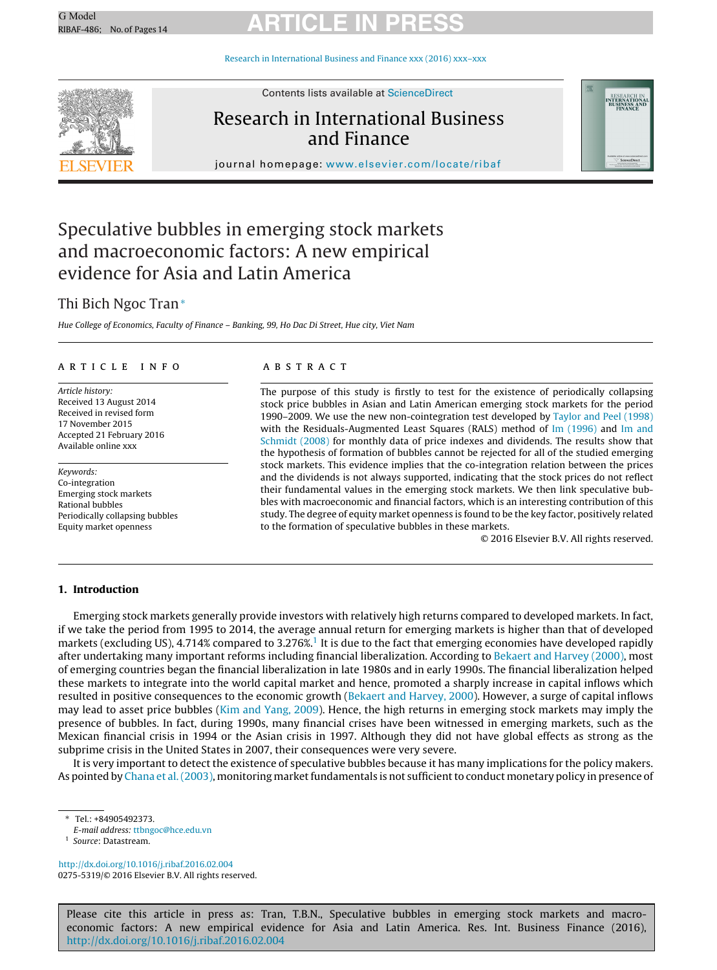# G Model G Model **ARTICLE IN PRESS**

Research in [International](dx.doi.org/10.1016/j.ribaf.2016.02.004) Business and Finance xxx (2016) xxx–xxx



Contents lists available at [ScienceDirect](http://www.sciencedirect.com/science/journal/02755319)

### Research in International Business and Finance



journal homepage: [www.elsevier.com/locate/ribaf](http://www.elsevier.com/locate/ribaf)

## Speculative bubbles in emerging stock markets and macroeconomic factors: A new empirical evidence for Asia and Latin America

### Thi Bich Ngoc Tran<sup>∗</sup>

Hue College of Economics, Faculty of Finance – Banking, 99, Ho Dac Di Street, Hue city, Viet Nam

#### ARTICLE INFO

Article history: Received 13 August 2014 Received in revised form 17 November 2015 Accepted 21 February 2016 Available online xxx

Keywords: Co-integration Emerging stock markets Rational bubbles Periodically collapsing bubbles Equity market openness

#### A B S T R A C T

The purpose of this study is firstly to test for the existence of periodically collapsing stock price bubbles in Asian and Latin American emerging stock markets for the period 1990–2009. We use the new non-cointegration test developed by [Taylor](#page--1-0) [and](#page--1-0) [Peel](#page--1-0) [\(1998\)](#page--1-0) with the Residuals-Augmented Least Squares (RALS) method of [Im](#page--1-0) [\(1996\)](#page--1-0) [and](#page--1-0) Im and [Schmidt](#page--1-0) [\(2008\)](#page--1-0) for monthly data of price indexes and dividends. The results show that the hypothesis of formation of bubbles cannot be rejected for all of the studied emerging stock markets. This evidence implies that the co-integration relation between the prices and the dividends is not always supported, indicating that the stock prices do not reflect their fundamental values in the emerging stock markets. We then link speculative bubbles with macroeconomic and financial factors, which is an interesting contribution of this study. The degree of equity market openness is found to be the key factor, positively related to the formation of speculative bubbles in these markets.

© 2016 Elsevier B.V. All rights reserved.

#### **1. Introduction**

Emerging stock markets generally provide investors with relatively high returns compared to developed markets. In fact, if we take the period from 1995 to 2014, the average annual return for emerging markets is higher than that of developed markets (excluding US), 4.714% compared to 3.276%.<sup>1</sup> It is due to the fact that emerging economies have developed rapidly after undertaking many important reforms including financial liberalization. According to [Bekaert](#page--1-0) [and](#page--1-0) [Harvey](#page--1-0) [\(2000\),](#page--1-0) most of emerging countries began the financial liberalization in late 1980s and in early 1990s. The financial liberalization helped these markets to integrate into the world capital market and hence, promoted a sharply increase in capital inflows which resulted in positive consequences to the economic growth [\(Bekaert](#page--1-0) [and](#page--1-0) [Harvey,](#page--1-0) [2000\).](#page--1-0) However, a surge of capital inflows may lead to asset price bubbles ([Kim](#page--1-0) [and](#page--1-0) [Yang,](#page--1-0) [2009\).](#page--1-0) Hence, the high returns in emerging stock markets may imply the presence of bubbles. In fact, during 1990s, many financial crises have been witnessed in emerging markets, such as the Mexican financial crisis in 1994 or the Asian crisis in 1997. Although they did not have global effects as strong as the subprime crisis in the United States in 2007, their consequences were very severe.

It is very important to detect the existence of speculative bubbles because it has many implications for the policy makers. As pointed by [Chana](#page--1-0) et al. (2003), monitoring market fundamentals is not sufficient to conduct monetary policy in presence of

∗ Tel.: +84905492373.

E-mail address: [ttbngoc@hce.edu.vn](mailto:ttbngoc@hce.edu.vn)

<sup>1</sup> Source: Datastream.

[http://dx.doi.org/10.1016/j.ribaf.2016.02.004](dx.doi.org/10.1016/j.ribaf.2016.02.004) 0275-5319/© 2016 Elsevier B.V. All rights reserved.

Please cite this article in press as: Tran, T.B.N., Speculative bubbles in emerging stock markets and macroeconomic factors: A new empirical evidence for Asia and Latin America. Res. Int. Business Finance (2016), [http://dx.doi.org/10.1016/j.ribaf.2016.02.004](dx.doi.org/10.1016/j.ribaf.2016.02.004)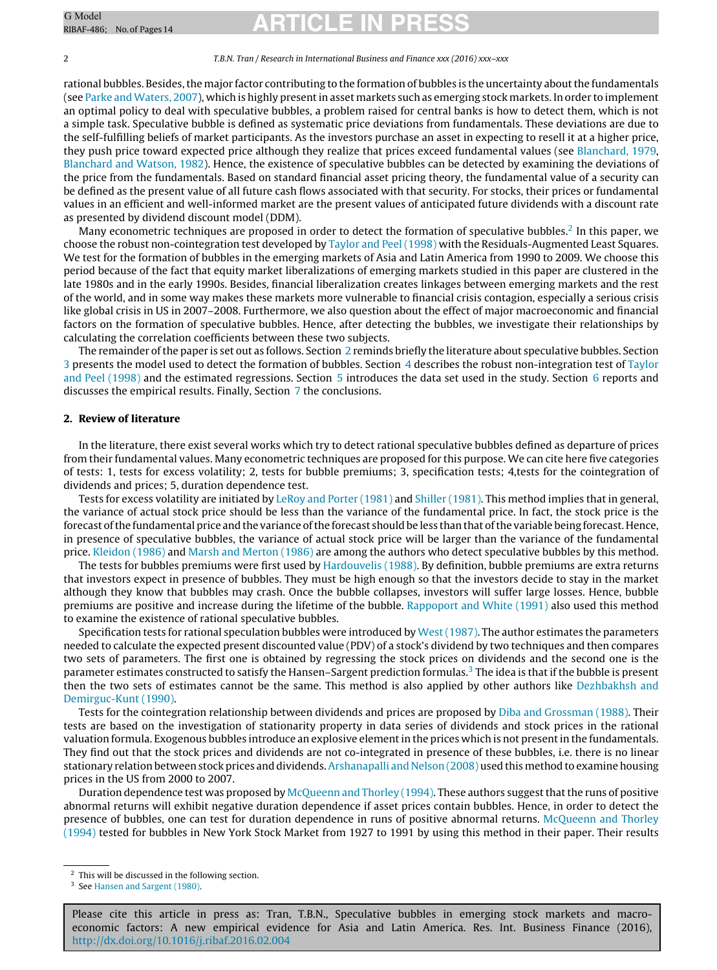# G Model G Model **ARTICLE IN PRESS**

#### 2 T.B.N. Tran / Research in International Business and Finance xxx (2016) xxx–xxx

rational bubbles. Besides, the major factor contributing to the formation of bubbles is the uncertainty about the fundamentals (see [Parke](#page--1-0) and Waters, [2007\),](#page--1-0) which is highly present in asset markets such as emerging stock markets. In order to implement an optimal policy to deal with speculative bubbles, a problem raised for central banks is how to detect them, which is not a simple task. Speculative bubble is defined as systematic price deviations from fundamentals. These deviations are due to the self-fulfilling beliefs of market participants. As the investors purchase an asset in expecting to resell it at a higher price, they push price toward expected price although they realize that prices exceed fundamental values (see [Blanchard,](#page--1-0) [1979,](#page--1-0) [Blanchard](#page--1-0) [and](#page--1-0) [Watson,](#page--1-0) [1982\).](#page--1-0) Hence, the existence of speculative bubbles can be detected by examining the deviations of the price from the fundamentals. Based on standard financial asset pricing theory, the fundamental value of a security can be defined as the present value of all future cash flows associated with that security. For stocks, their prices or fundamental values in an efficient and well-informed market are the present values of anticipated future dividends with a discount rate as presented by dividend discount model (DDM).

Many econometric techniques are proposed in order to detect the formation of speculative bubbles.<sup>2</sup> In this paper, we choose the robust non-cointegration test developed by [Taylor](#page--1-0) [and](#page--1-0) [Peel](#page--1-0) [\(1998\)](#page--1-0) with the Residuals-Augmented Least Squares. We test for the formation of bubbles in the emerging markets of Asia and Latin America from 1990 to 2009. We choose this period because of the fact that equity market liberalizations of emerging markets studied in this paper are clustered in the late 1980s and in the early 1990s. Besides, financial liberalization creates linkages between emerging markets and the rest of the world, and in some way makes these markets more vulnerable to financial crisis contagion, especially a serious crisis like global crisis in US in 2007–2008. Furthermore, we also question about the effect of major macroeconomic and financial factors on the formation of speculative bubbles. Hence, after detecting the bubbles, we investigate their relationships by calculating the correlation coefficients between these two subjects.

The remainder of the paper is set out as follows. Section 2 reminds briefly the literature about speculative bubbles. Section [3](#page--1-0) presents the model used to detect the formation of bubbles. Section [4](#page--1-0) describes the robust non-integration test of [Taylor](#page--1-0) [and](#page--1-0) [Peel](#page--1-0) [\(1998\)](#page--1-0) and the estimated regressions. Section [5](#page--1-0) introduces the data set used in the study. Section [6](#page--1-0) reports and discusses the empirical results. Finally, Section [7](#page--1-0) the conclusions.

#### **2. Review of literature**

In the literature, there exist several works which try to detect rational speculative bubbles defined as departure of prices from their fundamental values. Many econometric techniques are proposed for this purpose. We can cite here five categories of tests: 1, tests for excess volatility; 2, tests for bubble premiums; 3, specification tests; 4,tests for the cointegration of dividends and prices; 5, duration dependence test.

Tests for excess volatility are initiated by [LeRoy](#page--1-0) [and](#page--1-0) [Porter](#page--1-0) [\(1981\)](#page--1-0) and [Shiller](#page--1-0) [\(1981\).](#page--1-0) This method implies that in general, the variance of actual stock price should be less than the variance of the fundamental price. In fact, the stock price is the forecast of the fundamental price and the variance of the forecast should be less than that of the variable being forecast. Hence, in presence of speculative bubbles, the variance of actual stock price will be larger than the variance of the fundamental price. [Kleidon](#page--1-0) [\(1986\)](#page--1-0) and [Marsh](#page--1-0) [and](#page--1-0) [Merton](#page--1-0) [\(1986\)](#page--1-0) are among the authors who detect speculative bubbles by this method.

The tests for bubbles premiums were first used by [Hardouvelis](#page--1-0) [\(1988\).](#page--1-0) By definition, bubble premiums are extra returns that investors expect in presence of bubbles. They must be high enough so that the investors decide to stay in the market although they know that bubbles may crash. Once the bubble collapses, investors will suffer large losses. Hence, bubble premiums are positive and increase during the lifetime of the bubble. [Rappoport](#page--1-0) [and](#page--1-0) [White](#page--1-0) [\(1991\)](#page--1-0) also used this method to examine the existence of rational speculative bubbles.

Specification tests for rational speculation bubbles were introduced by West (1987). The author estimates the parameters needed to calculate the expected present discounted value (PDV) of a stock's dividend by two techniques and then compares two sets of parameters. The first one is obtained by regressing the stock prices on dividends and the second one is the parameter estimates constructed to satisfy the Hansen–Sargent prediction formulas.<sup>3</sup> The idea is that if the bubble is present then the two sets of estimates cannot be the same. This method is also applied by other authors like [Dezhbakhsh](#page--1-0) [and](#page--1-0) [Demirguc-Kunt](#page--1-0) [\(1990\).](#page--1-0)

Tests for the cointegration relationship between dividends and prices are proposed by [Diba](#page--1-0) [and](#page--1-0) [Grossman](#page--1-0) [\(1988\).](#page--1-0) Their tests are based on the investigation of stationarity property in data series of dividends and stock prices in the rational valuation formula. Exogenous bubbles introduce an explosive element in the prices which is not present in the fundamentals. They find out that the stock prices and dividends are not co-integrated in presence of these bubbles, i.e. there is no linear stationary relation between stock prices and dividends. [Arshanapalli](#page--1-0) [and](#page--1-0) [Nelson](#page--1-0) [\(2008\)](#page--1-0) used this method to examine housing prices in the US from 2000 to 2007.

Duration dependence test was proposed by [McQueenn](#page--1-0) [and](#page--1-0) [Thorley](#page--1-0) [\(1994\).](#page--1-0) These authors suggest that the runs of positive abnormal returns will exhibit negative duration dependence if asset prices contain bubbles. Hence, in order to detect the presence of bubbles, one can test for duration dependence in runs of positive abnormal returns. [McQueenn](#page--1-0) [and](#page--1-0) [Thorley](#page--1-0) [\(1994\)](#page--1-0) tested for bubbles in New York Stock Market from 1927 to 1991 by using this method in their paper. Their results

 $\sqrt{2}$  This will be discussed in the following section.

<sup>&</sup>lt;sup>3</sup> See [Hansen](#page--1-0) [and](#page--1-0) [Sargent](#page--1-0) [\(1980\).](#page--1-0)

Please cite this article in press as: Tran, T.B.N., Speculative bubbles in emerging stock markets and macroeconomic factors: A new empirical evidence for Asia and Latin America. Res. Int. Business Finance (2016), [http://dx.doi.org/10.1016/j.ribaf.2016.02.004](dx.doi.org/10.1016/j.ribaf.2016.02.004)